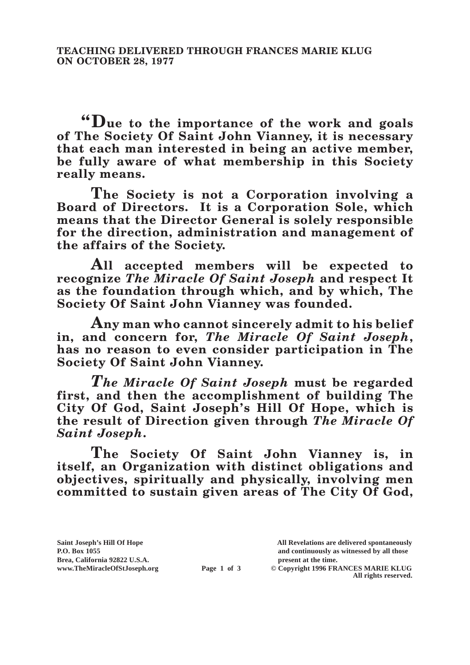**"Due to the importance of the work and goals of The Society Of Saint John Vianney, it is necessary that each man interested in being an active member, be fully aware of what membership in this Society really means.**

**The Society is not a Corporation involving a Board of Directors. It is a Corporation Sole, which means that the Director General is solely responsible for the direction, administration and management of the affairs of the Society.**

**All accepted members will be expected to recognize** *The Miracle Of Saint Joseph* **and respect It as the foundation through which, and by which, The Society Of Saint John Vianney was founded.**

**Any man who cannot sincerely admit to his belief in, and concern for,** *The Miracle Of Saint Joseph***, has no reason to even consider participation in The Society Of Saint John Vianney.**

*The Miracle Of Saint Joseph* **must be regarded first, and then the accomplishment of building The City Of God, Saint Joseph's Hill Of Hope, which is the result of Direction given through** *The Miracle Of Saint Joseph***.**

**The Society Of Saint John Vianney is, in itself, an Organization with distinct obligations and objectives, spiritually and physically, involving men committed to sustain given areas of The City Of God,** 

**Saint Joseph's Hill Of Hope All Revelations are delivered spontaneously Brea, California 92822 U.S.A. present at the time.**

**P.O. Box 1055 and continuously as witnessed by all those** 

**www.TheMiracleOfStJoseph.org Page 1 of 3 © Copyright 1996 FRANCES MARIE KLUG All rights reserved.**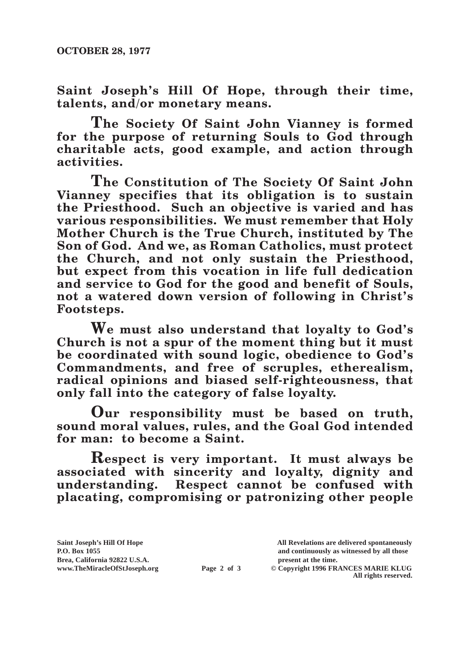**Saint Joseph's Hill Of Hope, through their time, talents, and/or monetary means.**

**The Society Of Saint John Vianney is formed for the purpose of returning Souls to God through charitable acts, good example, and action through activities.**

**The Constitution of The Society Of Saint John Vianney specifies that its obligation is to sustain the Priesthood. Such an objective is varied and has various responsibilities. We must remember that Holy Mother Church is the True Church, instituted by The Son of God. And we, as Roman Catholics, must protect the Church, and not only sustain the Priesthood, but expect from this vocation in life full dedication and service to God for the good and benefit of Souls, not a watered down version of following in Christ's Footsteps.**

**We must also understand that loyalty to God's Church is not a spur of the moment thing but it must be coordinated with sound logic, obedience to God's Commandments, and free of scruples, etherealism, radical opinions and biased self-righteousness, that only fall into the category of false loyalty.**

**Our responsibility must be based on truth, sound moral values, rules, and the Goal God intended for man: to become a Saint.**

**Respect is very important. It must always be associated with sincerity and loyalty, dignity and understanding. Respect cannot be confused with placating, compromising or patronizing other people** 

Brea, California 92822 U.S.A.<br>
www.TheMiracleOfStJoseph.org<br> **Page 2 of 3** © Copyright 1996 FR.

**Saint Joseph's Hill Of Hope All Revelations are delivered spontaneously P.O. Box 1055 and continuously as witnessed by all those** 

 $\odot$  Copyright 1996 FRANCES MARIE KLUG **All rights reserved.**